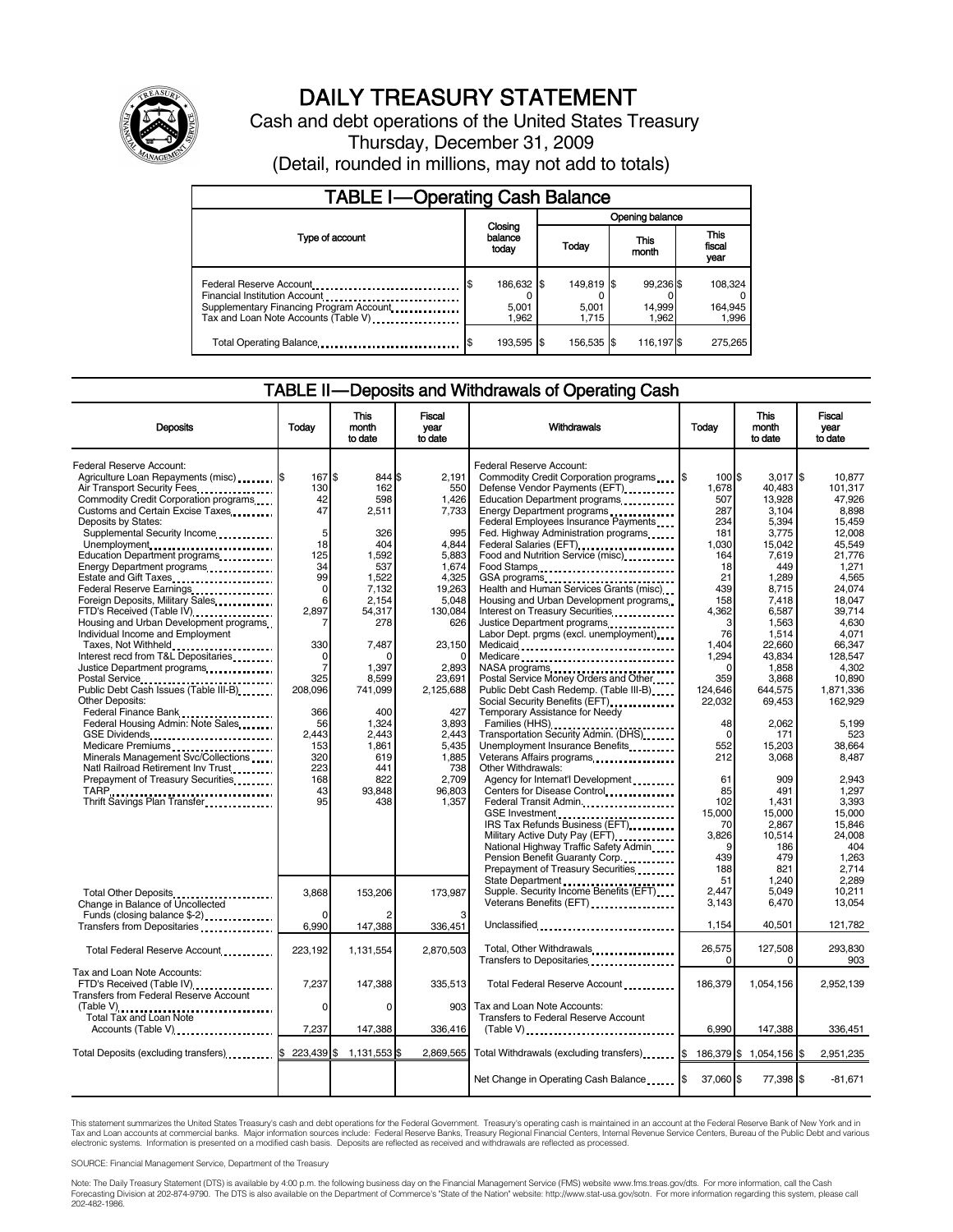

# DAILY TREASURY STATEMENT<br>Cash and debt operations of the United States Treasury

Thursday, December 31, 2009 (Detail, rounded in millions, may not add to totals)

| <b>TABLE I-Operating Cash Balance</b>                                                                                                        |                                      |                              |                              |                             |  |  |  |
|----------------------------------------------------------------------------------------------------------------------------------------------|--------------------------------------|------------------------------|------------------------------|-----------------------------|--|--|--|
|                                                                                                                                              |                                      | Opening balance              |                              |                             |  |  |  |
| Type of account                                                                                                                              | Closing<br>balance<br>Today<br>today |                              | This<br>month                | This<br>fiscal<br>year      |  |  |  |
| Federal Reserve Account<br>Financial Institution Account<br>Supplementary Financing Program Account.<br>Tax and Loan Note Accounts (Table V) | 186,632 \$<br>5,001<br>1.962         | 149,819 \$<br>5,001<br>1.715 | 99,236 \$<br>14,999<br>1.962 | 108,324<br>164,945<br>1,996 |  |  |  |
| Total Operating Balance                                                                                                                      | 193,595 \$                           | 156,535 \$                   | 116,197 \$                   | 275,265                     |  |  |  |

#### TABLE II — Deposits and Withdrawals of Operating Cash

| <b>Deposits</b>                                                                                                                                                                                                                                                                                                                                                                                                                                                                                                                                                                                                                                                                                                                                                                                                                                                                                                                                                                                                                                                                                                                                                                | Today                                                                                                                                                                                           | <b>This</b><br>month<br>to date                                                                                                                                                                                            | <b>Fiscal</b><br>year<br>to date                                                                                                                                                                                                                   | Withdrawals                                                                                                                                                                                                                                                                                                                                                                                                                                                                                                                                                                                                                                                                                                                                                                                                                                                                                                                                                                                                                                                                                                                     | Today                                                                                                                                                                                                                                                                                  | <b>This</b><br>month<br>to date                                                                                                                                                                                                                                                                                           | <b>Fiscal</b><br>vear<br>to date                                                                                                                                                                                                                                                                                                             |
|--------------------------------------------------------------------------------------------------------------------------------------------------------------------------------------------------------------------------------------------------------------------------------------------------------------------------------------------------------------------------------------------------------------------------------------------------------------------------------------------------------------------------------------------------------------------------------------------------------------------------------------------------------------------------------------------------------------------------------------------------------------------------------------------------------------------------------------------------------------------------------------------------------------------------------------------------------------------------------------------------------------------------------------------------------------------------------------------------------------------------------------------------------------------------------|-------------------------------------------------------------------------------------------------------------------------------------------------------------------------------------------------|----------------------------------------------------------------------------------------------------------------------------------------------------------------------------------------------------------------------------|----------------------------------------------------------------------------------------------------------------------------------------------------------------------------------------------------------------------------------------------------|---------------------------------------------------------------------------------------------------------------------------------------------------------------------------------------------------------------------------------------------------------------------------------------------------------------------------------------------------------------------------------------------------------------------------------------------------------------------------------------------------------------------------------------------------------------------------------------------------------------------------------------------------------------------------------------------------------------------------------------------------------------------------------------------------------------------------------------------------------------------------------------------------------------------------------------------------------------------------------------------------------------------------------------------------------------------------------------------------------------------------------|----------------------------------------------------------------------------------------------------------------------------------------------------------------------------------------------------------------------------------------------------------------------------------------|---------------------------------------------------------------------------------------------------------------------------------------------------------------------------------------------------------------------------------------------------------------------------------------------------------------------------|----------------------------------------------------------------------------------------------------------------------------------------------------------------------------------------------------------------------------------------------------------------------------------------------------------------------------------------------|
| Federal Reserve Account:<br>Agriculture Loan Repayments (misc) \$<br>Air Transport Security Fees<br>Commodity Credit Corporation programs<br>Customs and Certain Excise Taxes<br>Deposits by States:<br>Supplemental Security Income<br>Unemployment<br>Education Department programs<br>Energy Department programs<br><br>Estate and Gift Taxes<br>Federal Reserve Earnings<br>Foreign Deposits, Military Sales<br>FTD's Received (Table IV)<br>Housing and Urban Development programs<br>Individual Income and Employment<br>Taxes, Not Withheld<br>Interest recd from T&L Depositaries<br>Justice Department programs<br>Postal Service<br>Public Debt Cash Issues (Table III-B)<br>Other Deposits:<br>Federal Finance Bank<br>1999: The Manus Press, 1999: The Manus Press, 1999: The Manus Press, 1999: The Manus Press, 1999: The Manus Press, 1999: The Manus Press, 1999: The Manus Press, 1999: The Manus Press, 1999: The Manus<br>Federal Housing Admin: Note Sales<br>GSE Dividends<br>Medicare Premiums<br>Minerals Management Svc/Collections<br>Natl Railroad Retirement Inv Trust<br>Prepayment of Treasury Securities<br>TARP<br>Thrift Savings Plan Transfer | 167 \$<br>130<br>42<br>47<br>5<br>18<br>125<br>34<br>99<br>$\Omega$<br>6<br>2.897<br>330<br>0<br>$\overline{7}$<br>325<br>208.096<br>366<br>56<br>2,443<br>153<br>320<br>223<br>168<br>43<br>95 | 844 \$<br>162<br>598<br>2,511<br>326<br>404<br>1,592<br>537<br>1,522<br>7,132<br>2,154<br>54,317<br>278<br>7,487<br>ŋ<br>1,397<br>8.599<br>741,099<br>400<br>1,324<br>2,443<br>1.861<br>619<br>441<br>822<br>93,848<br>438 | 2.191<br>550<br>1,426<br>7,733<br>995<br>4.844<br>5,883<br>1.674<br>4,325<br>19,263<br>5,048<br>130,084<br>626<br>23,150<br>$\Omega$<br>2,893<br>23.691<br>2.125.688<br>427<br>3,893<br>2,443<br>5.435<br>1.885<br>738<br>2,709<br>96,803<br>1,357 | Federal Reserve Account:<br>Commodity Credit Corporation programs<br>Defense Vendor Payments (EFT)<br>Education Department programs<br>Energy Department programs<br><br>Federal Employees Insurance Payments.<br>Fed. Highway Administration programs<br>Federal Salaries (EFT)<br>Food and Nutrition Service (misc)<br>Food Stamps<br>Health and Human Services Grants (misc)<br>Housing and Urban Development programs<br>Interest on Treasury Securities<br>Justice Department programs<br>Labor Dept. prgms (excl. unemployment)<br>Medicare<br>Postal Service Money Orders and Other<br>Public Debt Cash Redemp. (Table III-B)<br>Social Security Benefits (EFT) [1001]<br>Temporary Assistance for Needy<br>Transportation Security Admin. (DHS)<br>Unemployment Insurance Benefits<br>Veterans Affairs programs<br>Other Withdrawals:<br>Agency for Internat'l Development<br>Centers for Disease Control<br>Federal Transit Admin.<br>IRS Tax Refunds Business (EFT)<br>Military Active Duty Pay (EFT)<br>National Highway Traffic Safety Admin<br>Pension Benefit Guaranty Corp.<br>Prepayment of Treasury Securities | $\sqrt{3}$<br>100 \$<br>1.678<br>507<br>287<br>234<br>181<br>1.030<br>164<br>18<br>21<br>439<br>158<br>4.362<br>3<br>76<br>1,404<br>1,294<br>$\Omega$<br>359<br>124.646<br>22,032<br>48<br>$\Omega$<br>552<br>212<br>61<br>85<br>102<br>15,000<br>70<br>3.826<br>9<br>439<br>188<br>51 | $3,017$ \$<br>40.483<br>13,928<br>3,104<br>5,394<br>3,775<br>15,042<br>7,619<br>449<br>1.289<br>8,715<br>7,418<br>6,587<br>1,563<br>1,514<br>22,660<br>43,834<br>1,858<br>3.868<br>644.575<br>69,453<br>2,062<br>171<br>15.203<br>3,068<br>909<br>491<br>1,431<br>15,000<br>2,867<br>10.514<br>186<br>479<br>821<br>1,240 | 10,877<br>101.317<br>47,926<br>8.898<br>15,459<br>12.008<br>45,549<br>21,776<br>1.271<br>4.565<br>24,074<br>18.047<br>39.714<br>4.630<br>4,071<br>66,347<br>128,547<br>4.302<br>10.890<br>1,871,336<br>162,929<br>5,199<br>523<br>38.664<br>8.487<br>2.943<br>1,297<br>3,393<br>15,000<br>15,846<br>24.008<br>404<br>1,263<br>2,714<br>2.289 |
| Total Other Deposits<br>Change in Balance of Uncollected<br>Funds (closing balance \$-2)<br>Transfers from Depositaries                                                                                                                                                                                                                                                                                                                                                                                                                                                                                                                                                                                                                                                                                                                                                                                                                                                                                                                                                                                                                                                        | 3,868<br>n<br>6,990                                                                                                                                                                             | 153,206<br>147,388                                                                                                                                                                                                         | 173,987<br>336,451                                                                                                                                                                                                                                 | State Department<br>Supple. Security Income Benefits (EFT)<br>Veterans Benefits (EFT)<br><br>Unclassified                                                                                                                                                                                                                                                                                                                                                                                                                                                                                                                                                                                                                                                                                                                                                                                                                                                                                                                                                                                                                       | 2.447<br>3,143<br>1,154                                                                                                                                                                                                                                                                | 5.049<br>6,470<br>40,501                                                                                                                                                                                                                                                                                                  | 10,211<br>13,054<br>121,782                                                                                                                                                                                                                                                                                                                  |
| Total Federal Reserve Account                                                                                                                                                                                                                                                                                                                                                                                                                                                                                                                                                                                                                                                                                                                                                                                                                                                                                                                                                                                                                                                                                                                                                  | 223,192                                                                                                                                                                                         | 1,131,554                                                                                                                                                                                                                  | 2,870,503                                                                                                                                                                                                                                          | Total, Other Withdrawals<br>Transfers to Depositaries                                                                                                                                                                                                                                                                                                                                                                                                                                                                                                                                                                                                                                                                                                                                                                                                                                                                                                                                                                                                                                                                           | 26,575                                                                                                                                                                                                                                                                                 | 127,508<br>0                                                                                                                                                                                                                                                                                                              | 293.830<br>903                                                                                                                                                                                                                                                                                                                               |
| Tax and Loan Note Accounts:<br>FTD's Received (Table IV)<br><b>Transfers from Federal Reserve Account</b>                                                                                                                                                                                                                                                                                                                                                                                                                                                                                                                                                                                                                                                                                                                                                                                                                                                                                                                                                                                                                                                                      | 7,237                                                                                                                                                                                           | 147,388                                                                                                                                                                                                                    | 335,513                                                                                                                                                                                                                                            | Total Federal Reserve Account                                                                                                                                                                                                                                                                                                                                                                                                                                                                                                                                                                                                                                                                                                                                                                                                                                                                                                                                                                                                                                                                                                   | 186,379                                                                                                                                                                                                                                                                                | 1,054,156                                                                                                                                                                                                                                                                                                                 | 2,952,139                                                                                                                                                                                                                                                                                                                                    |
| (Table V)<br>Total Tax and Loan Note<br>Accounts (Table V)                                                                                                                                                                                                                                                                                                                                                                                                                                                                                                                                                                                                                                                                                                                                                                                                                                                                                                                                                                                                                                                                                                                     | 0<br>7,237                                                                                                                                                                                      | 0<br>147,388                                                                                                                                                                                                               | 903<br>336,416                                                                                                                                                                                                                                     | Tax and Loan Note Accounts:<br>Transfers to Federal Reserve Account<br>$(Table V)$ ,                                                                                                                                                                                                                                                                                                                                                                                                                                                                                                                                                                                                                                                                                                                                                                                                                                                                                                                                                                                                                                            | 6.990                                                                                                                                                                                                                                                                                  | 147,388                                                                                                                                                                                                                                                                                                                   | 336,451                                                                                                                                                                                                                                                                                                                                      |
| Total Deposits (excluding transfers) 5 223,439 \$                                                                                                                                                                                                                                                                                                                                                                                                                                                                                                                                                                                                                                                                                                                                                                                                                                                                                                                                                                                                                                                                                                                              |                                                                                                                                                                                                 | 1,131,553                                                                                                                                                                                                                  | 2,869,565                                                                                                                                                                                                                                          | Total Withdrawals (excluding transfers) [15]                                                                                                                                                                                                                                                                                                                                                                                                                                                                                                                                                                                                                                                                                                                                                                                                                                                                                                                                                                                                                                                                                    |                                                                                                                                                                                                                                                                                        | 186,379 \$1,054,156                                                                                                                                                                                                                                                                                                       | 2,951,235<br>ß.                                                                                                                                                                                                                                                                                                                              |
|                                                                                                                                                                                                                                                                                                                                                                                                                                                                                                                                                                                                                                                                                                                                                                                                                                                                                                                                                                                                                                                                                                                                                                                |                                                                                                                                                                                                 |                                                                                                                                                                                                                            |                                                                                                                                                                                                                                                    | Net Change in Operating Cash Balance 5                                                                                                                                                                                                                                                                                                                                                                                                                                                                                                                                                                                                                                                                                                                                                                                                                                                                                                                                                                                                                                                                                          | 37,060 \$                                                                                                                                                                                                                                                                              | 77,398 \$                                                                                                                                                                                                                                                                                                                 | $-81,671$                                                                                                                                                                                                                                                                                                                                    |

This statement summarizes the United States Treasury's cash and debt operations for the Federal Government. Treasury's operating cash is maintained in an account at the Federal Reserve Bank of New York and in<br>Tax and Loan

SOURCE: Financial Management Service, Department of the Treasury

Note: The Daily Treasury Statement (DTS) is available by 4:00 p.m. the following business day on the Financial Management Service (FMS) website www.fms.treas.gov/dts. For more information, call the Cash Forecasting Division at 202-874-9790. The DTS is also available on the Department of Commerce's "State of the Nation" website: http://www.stat-usa.gov/sotn. For more information regarding this system, please call<br>202-482-1